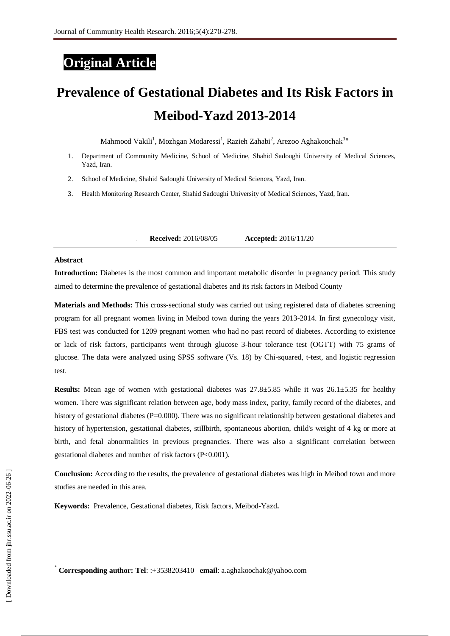# **Original Article**

# **Prevalence of Gestational Diabetes and Its Risk Factors in Meibod-Yazd 2013-2014**

Mahmood Vakili<sup>1</sup>, Mozhgan Modaressi<sup>1</sup>, Razieh Zahabi<sup>2</sup>, Arezoo Aghakoochak<sup>3\*</sup>

- 1. Department of Community Medicine, School of Medicine, Shahid Sadoughi University of Medical Sciences, Yazd, Iran.
- 2. School of Medicine, Shahid Sadoughi University of Medical Sciences, Yazd, Iran.
- 3. Health Monitoring Research Center, Shahid Sadoughi University of Medical Sciences, Yazd, Iran.

**1. Received:** 2016/08/05 **Accepted:** 2016/11/20

#### **Abstract**

**Introduction:** Diabetes is the most common and important metabolic disorder in pregnancy period. This study aimed to determine the prevalence of gestational diabetes and its risk factors in Meibod County

**Materials and Methods:** This cross-sectional study was carried out using registered data of diabetes screening program for all pregnant women living in Meibod town during the years 2013-2014. In first gynecology visit, FBS test was conducted for 1209 pregnant women who had no past record of diabetes. According to existence or lack of risk factors, participants went through glucose 3-hour tolerance test (OGTT) with 75 grams of glucose. The data were analyzed using SPSS software (Vs. 18) by Chi-squared, t-test, and logistic regression test.

**Results:** Mean age of women with gestational diabetes was 27.8±5.85 while it was 26.1±5.35 for healthy women. There was significant relation between age, body mass index, parity, family record of the diabetes, and history of gestational diabetes (P=0.000). There was no significant relationship between gestational diabetes and history of hypertension, gestational diabetes, stillbirth, spontaneous abortion, child's weight of 4 kg or more at birth, and fetal abnormalities in previous pregnancies. There was also a significant correlation between gestational diabetes and number of risk factors (P<0.001).

**Conclusion:** According to the results, the prevalence of gestational diabetes was high in Meibod town and more studies are needed in this area.

**Keywords:** Prevalence, Gestational diabetes, Risk factors, Meibod-Yazd**.** 

 $\overline{1}$ 

<sup>٭</sup> **Corresponding author: Tel**: :+3538203410 **email**: a.aghakoochak@yahoo.com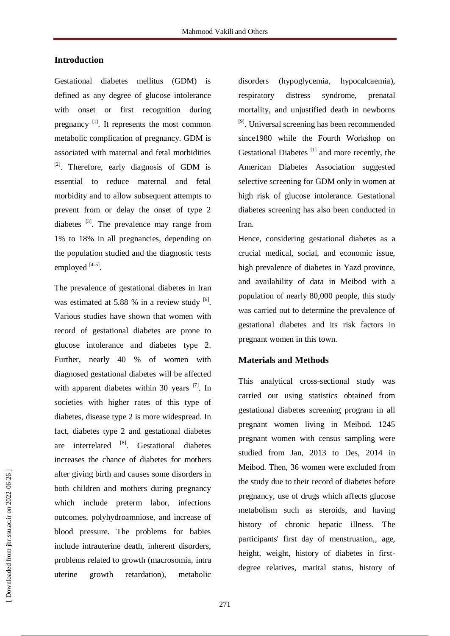# **Introduction**

Gestational diabetes mellitus (GDM) is defined as any degree of glucose intolerance with onset or first recognition during pregnancy<sup>[1]</sup>. It represents the most common metabolic complication of pregnancy. GDM is associated with maternal and fetal morbidities <sup>[2]</sup>. Therefore, early diagnosis of GDM is essential to reduce maternal and fetal morbidity and to allow subsequent attempts to prevent from or delay the onset of type 2 diabetes  $^{[3]}$ . The prevalence may range from 1% to 18% in all pregnancies, depending on the population studied and the diagnostic tests employed [4-5].

The prevalence of gestational diabetes in Iran was estimated at 5.88 % in a review study  $[6]$ . Various studies have shown that women with record of gestational diabetes are prone to glucose intolerance and diabetes type 2. Further, nearly 40 % of women with diagnosed gestational diabetes will be affected with apparent diabetes within 30 years  $^{[7]}$ . In societies with higher rates of this type of diabetes, disease type 2 is more widespread. In fact, diabetes type 2 and gestational diabetes are interrelated [8]. Gestational diabetes increases the chance of diabetes for mothers after giving birth and causes some disorders in both children and mothers during pregnancy which include preterm labor, infections outcomes, polyhydroamniose, and increase of blood pressure. The problems for babies include intrauterine death, inherent disorders, problems related to growth (macrosomia, intra uterine growth retardation), metabolic

disorders (hypoglycemia, hypocalcaemia), respiratory distress syndrome, prenatal mortality, and unjustified death in newborns <sup>[9]</sup>. Universal screening has been recommended since1980 while the Fourth Workshop on Gestational Diabetes<sup>[1]</sup> and more recently, the American Diabetes Association suggested selective screening for GDM only in women at high risk of glucose intolerance. Gestational diabetes screening has also been conducted in Iran.

Hence, considering gestational diabetes as a crucial medical, social, and economic issue, high prevalence of diabetes in Yazd province, and availability of data in Meibod with a population of nearly 80,000 people, this study was carried out to determine the prevalence of gestational diabetes and its risk factors in pregnant women in this town.

# **Materials and Methods**

This analytical cross-sectional study was carried out using statistics obtained from gestational diabetes screening program in all pregnant women living in Meibod. 1245 pregnant women with census sampling were studied from Jan, 2013 to Des, 2014 in Meibod. Then, 36 women were excluded from the study due to their record of diabetes before pregnancy, use of drugs which affects glucose metabolism such as steroids, and having history of chronic hepatic illness. The participants' first day of menstruation,, age, height, weight, history of diabetes in firstdegree relatives, marital status, history of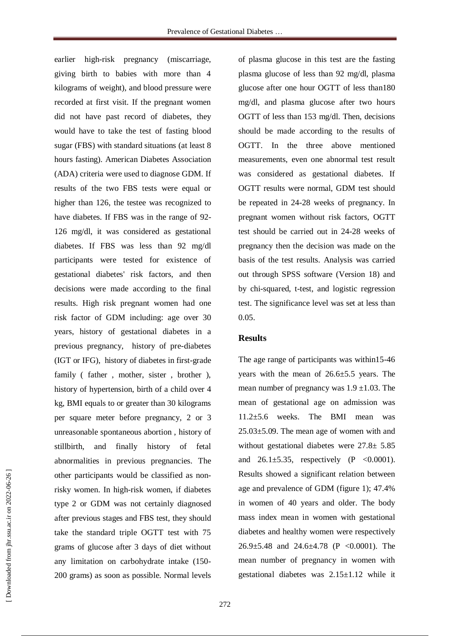earlier high-risk pregnancy (miscarriage, giving birth to babies with more than 4 kilograms of weight), and blood pressure were recorded at first visit. If the pregnant women did not have past record of diabetes, they would have to take the test of fasting blood sugar (FBS) with standard situations (at least 8 hours fasting). American Diabetes Association (ADA) criteria were used to diagnose GDM. If results of the two FBS tests were equal or higher than 126, the testee was recognized to have diabetes. If FBS was in the range of 92- 126 mg/dl, it was considered as gestational diabetes. If FBS was less than 92 mg/dl participants were tested for existence of gestational diabetes' risk factors, and then decisions were made according to the final results. High risk pregnant women had one risk factor of GDM including: age over 30 years, history of gestational diabetes in a previous pregnancy, history of pre-diabetes (IGT or IFG), history of diabetes in first-grade family (father, mother, sister, brother), history of hypertension, birth of a child over 4 kg, BMI equals to or greater than 30 kilograms per square meter before pregnancy, 2 or 3 unreasonable spontaneous abortion , history of stillbirth, and finally history of fetal abnormalities in previous pregnancies. The other participants would be classified as nonrisky women. In high-risk women, if diabetes type 2 or GDM was not certainly diagnosed after previous stages and FBS test, they should take the standard triple OGTT test with 75 grams of glucose after 3 days of diet without any limitation on carbohydrate intake (150- 200 grams) as soon as possible. Normal levels

of plasma glucose in this test are the fasting plasma glucose of less than 92 mg/dl, plasma glucose after one hour OGTT of less than180 mg/dl, and plasma glucose after two hours OGTT of less than 153 mg/dl. Then, decisions should be made according to the results of OGTT. In the three above mentioned measurements, even one abnormal test result was considered as gestational diabetes. If OGTT results were normal, GDM test should be repeated in 24-28 weeks of pregnancy. In pregnant women without risk factors, OGTT test should be carried out in 24-28 weeks of pregnancy then the decision was made on the basis of the test results. Analysis was carried out through SPSS software (Version 18) and by chi-squared, t-test, and logistic regression test. The significance level was set at less than 0.05.

#### **Results**

The age range of participants was within15-46 years with the mean of 26.6±5.5 years. The mean number of pregnancy was  $1.9 \pm 1.03$ . The mean of gestational age on admission was 11.2±5.6 weeks. The BMI mean was 25.03±5.09. The mean age of women with and without gestational diabetes were 27.8± 5.85 and  $26.1\pm5.35$ , respectively (P < 0.0001). Results showed a significant relation between age and prevalence of GDM (figure 1); 47.4% in women of 40 years and older. The body mass index mean in women with gestational diabetes and healthy women were respectively 26.9±5.48 and 24.6±4.78 (P <0.0001). The mean number of pregnancy in women with gestational diabetes was 2.15±1.12 while it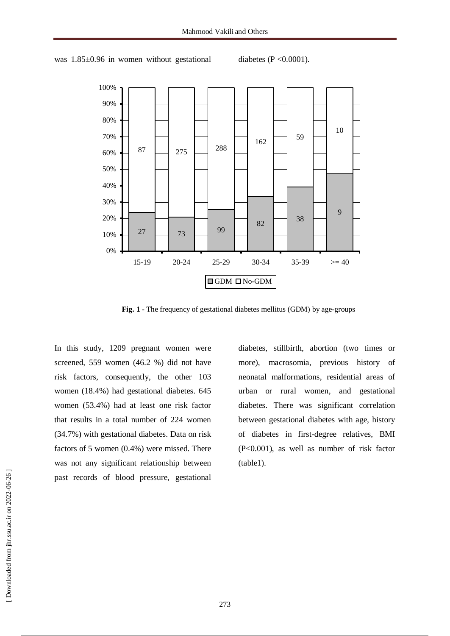



**Fig. 1** - The frequency of gestational diabetes mellitus (GDM) by age-groups

In this study, 1209 pregnant women were screened, 559 women (46.2 %) did not have risk factors, consequently, the other 103 women (18.4%) had gestational diabetes. 645 women (53.4%) had at least one risk factor that results in a total number of 224 women (34.7%) with gestational diabetes. Data on risk factors of 5 women (0.4%) were missed. There was not any significant relationship between past records of blood pressure, gestational

diabetes, stillbirth, abortion (two times or more), macrosomia, previous history of neonatal malformations, residential areas of urban or rural women, and gestational diabetes. There was significant correlation between gestational diabetes with age, history of diabetes in first-degree relatives, BMI (P<0.001), as well as number of risk factor (table1).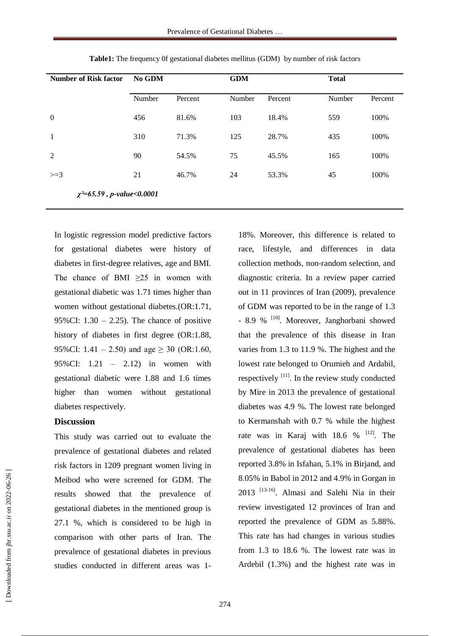| <b>Number of Risk factor</b>      | No GDM |         | <b>GDM</b> |         | <b>Total</b> |         |
|-----------------------------------|--------|---------|------------|---------|--------------|---------|
|                                   | Number | Percent | Number     | Percent | Number       | Percent |
| $\overline{0}$                    | 456    | 81.6%   | 103        | 18.4%   | 559          | 100%    |
| 1                                 | 310    | 71.3%   | 125        | 28.7%   | 435          | 100%    |
| 2                                 | 90     | 54.5%   | 75         | 45.5%   | 165          | 100%    |
| $>=$ 3                            | 21     | 46.7%   | 24         | 53.3%   | 45           | 100%    |
| $\chi^2 = 65.59$ , p-value<0.0001 |        |         |            |         |              |         |

**Table1:** The frequency 0f gestational diabetes mellitus (GDM) by number of risk factors

In logistic regression model predictive factors for gestational diabetes were history of diabetes in first-degree relatives, age and BMI. The chance of BMI  $\geq 25$  in women with gestational diabetic was 1.71 times higher than women without gestational diabetes.(OR:1.71, 95%CI:  $1.30 - 2.25$ ). The chance of positive history of diabetes in first degree (OR:1.88, 95%CI:  $1.41 - 2.50$ ) and age  $\geq 30$  (OR:1.60, 95%CI: 1.21 – 2.12) in women with gestational diabetic were 1.88 and 1.6 times higher than women without gestational diabetes respectively.

## **Discussion**

This study was carried out to evaluate the prevalence of gestational diabetes and related risk factors in 1209 pregnant women living in Meibod who were screened for GDM. The results showed that the prevalence of gestational diabetes in the mentioned group is 27.1 %, which is considered to be high in comparison with other parts of Iran. The prevalence of gestational diabetes in previous studies conducted in different areas was 118%. Moreover, this difference is related to race, lifestyle, and differences in data collection methods, non-random selection, and diagnostic criteria. In a review paper carried out in 11 provinces of Iran (2009), prevalence of GDM was reported to be in the range of 1.3 - 8.9 % <sup>[10]</sup>. Moreover, Janghorbani showed that the prevalence of this disease in Iran varies from 1.3 to 11.9 %. The highest and the lowest rate belonged to Orumieh and Ardabil, respectively  $\left[11\right]$ . In the review study conducted by Mire in 2013 the prevalence of gestational diabetes was 4.9 %. The lowest rate belonged to Kermanshah with 0.7 % while the highest rate was in Karaj with  $18.6 \%$ <sup>[12]</sup>. The prevalence of gestational diabetes has been reported 3.8% in Isfahan, 5.1% in Birjand, and 8.05% in Babol in 2012 and 4.9% in Gorgan in 2013 [13-16] . Almasi and Salehi Nia in their review investigated 12 provinces of Iran and reported the prevalence of GDM as 5.88%. This rate has had changes in various studies from 1.3 to 18.6 %. The lowest rate was in Ardebil (1.3%) and the highest rate was in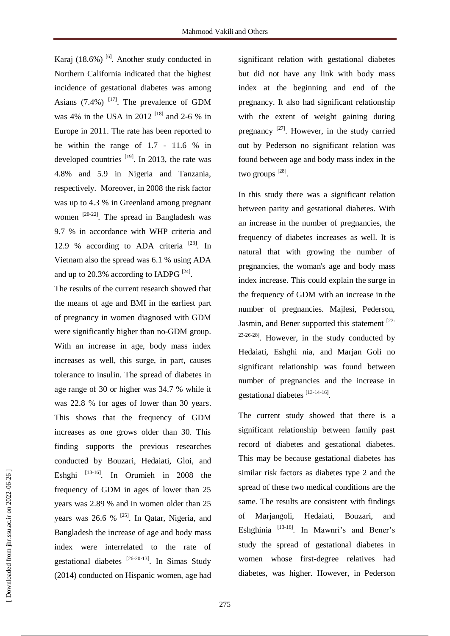Karaj  $(18.6\%)$ <sup>[6]</sup>. Another study conducted in Northern California indicated that the highest incidence of gestational diabetes was among Asians  $(7.4\%)$ <sup>[17]</sup>. The prevalence of GDM was 4% in the USA in 2012<sup>[18]</sup> and 2-6 % in Europe in 2011. The rate has been reported to be within the range of 1.7 - 11.6 % in developed countries  $^{[19]}$ . In 2013, the rate was 4.8% and 5.9 in Nigeria and Tanzania, respectively. Moreover, in 2008 the risk factor was up to 4.3 % in Greenland among pregnant women  $[20-22]$ . The spread in Bangladesh was 9.7 % in accordance with WHP criteria and 12.9 % according to ADA criteria  $^{[23]}$ . In Vietnam also the spread was 6.1 % using ADA and up to 20.3% according to IADPG  $^{[24]}$ .

The results of the current research showed that the means of age and BMI in the earliest part of pregnancy in women diagnosed with GDM were significantly higher than no-GDM group. With an increase in age, body mass index increases as well, this surge, in part, causes tolerance to insulin. The spread of diabetes in age range of 30 or higher was 34.7 % while it was 22.8 % for ages of lower than 30 years. This shows that the frequency of GDM increases as one grows older than 30. This finding supports the previous researches conducted by Bouzari, Hedaiati, Gloi, and Eshghi <sup>[13-16]</sup>. In Orumieh in 2008 the frequency of GDM in ages of lower than 25 years was 2.89 % and in women older than 25 years was 26.6 % <sup>[25]</sup>. In Qatar, Nigeria, and Bangladesh the increase of age and body mass index were interrelated to the rate of gestational diabetes <sup>[26-20-13]</sup>. In Simas Study (2014) conducted on Hispanic women, age had

significant relation with gestational diabetes but did not have any link with body mass index at the beginning and end of the pregnancy. It also had significant relationship with the extent of weight gaining during pregnancy  $^{[27]}$ . However, in the study carried out by Pederson no significant relation was found between age and body mass index in the two groups [28].

In this study there was a significant relation between parity and gestational diabetes. With an increase in the number of pregnancies, the frequency of diabetes increases as well. It is natural that with growing the number of pregnancies, the woman's age and body mass index increase. This could explain the surge in the frequency of GDM with an increase in the number of pregnancies. Majlesi, Pederson, Jasmin, and Bener supported this statement <sup>[22-</sup>  $23-26-28$ ]. However, in the study conducted by Hedaiati, Eshghi nia, and Marjan Goli no significant relationship was found between number of pregnancies and the increase in gestational diabetes [13-14-16].

The current study showed that there is a significant relationship between family past record of diabetes and gestational diabetes. This may be because gestational diabetes has similar risk factors as diabetes type 2 and the spread of these two medical conditions are the same. The results are consistent with findings of Marjangoli, Hedaiati, Bouzari, and Eshghinia<sup>[13-16]</sup>. In Mawnri's and Bener's study the spread of gestational diabetes in women whose first-degree relatives had diabetes, was higher. However, in Pederson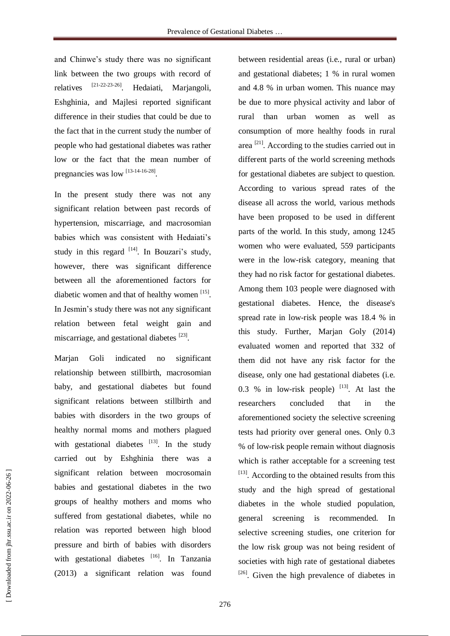and Chinwe's study there was no significant link between the two groups with record of relatives [21-22-23-26] . Hedaiati, Marjangoli, Eshghinia, and Majlesi reported significant difference in their studies that could be due to the fact that in the current study the number of people who had gestational diabetes was rather low or the fact that the mean number of pregnancies was low [13-14-16-28].

In the present study there was not any significant relation between past records of hypertension, miscarriage, and macrosomian babies which was consistent with Hedaiati's study in this regard  $[14]$ . In Bouzari's study, however, there was significant difference between all the aforementioned factors for diabetic women and that of healthy women [15]. In Jesmin's study there was not any significant relation between fetal weight gain and miscarriage, and gestational diabetes [23].

Marjan Goli indicated no significant relationship between stillbirth, macrosomian baby, and gestational diabetes but found significant relations between stillbirth and babies with disorders in the two groups of healthy normal moms and mothers plagued with gestational diabetes  $[13]$ . In the study carried out by Eshghinia there was a significant relation between mocrosomain babies and gestational diabetes in the two groups of healthy mothers and moms who suffered from gestational diabetes, while no relation was reported between high blood pressure and birth of babies with disorders with gestational diabetes [16]. In Tanzania (2013) a significant relation was found

between residential areas (i.e., rural or urban) and gestational diabetes; 1 % in rural women and 4.8 % in urban women. This nuance may be due to more physical activity and labor of rural than urban women as well as consumption of more healthy foods in rural area<sup>[21]</sup>. According to the studies carried out in different parts of the world screening methods for gestational diabetes are subject to question. According to various spread rates of the disease all across the world, various methods have been proposed to be used in different parts of the world. In this study, among 1245 women who were evaluated, 559 participants were in the low-risk category, meaning that they had no risk factor for gestational diabetes. Among them 103 people were diagnosed with gestational diabetes. Hence, the disease's spread rate in low-risk people was 18.4 % in this study. Further, Marjan Goly (2014) evaluated women and reported that 332 of them did not have any risk factor for the disease, only one had gestational diabetes (i.e. 0.3 % in low-risk people)  $[13]$ . At last the researchers concluded that in the aforementioned society the selective screening tests had priority over general ones. Only 0.3 % of low-risk people remain without diagnosis which is rather acceptable for a screening test [13]. According to the obtained results from this study and the high spread of gestational diabetes in the whole studied population, general screening is recommended. In selective screening studies, one criterion for the low risk group was not being resident of societies with high rate of gestational diabetes <sup>[26]</sup>. Given the high prevalence of diabetes in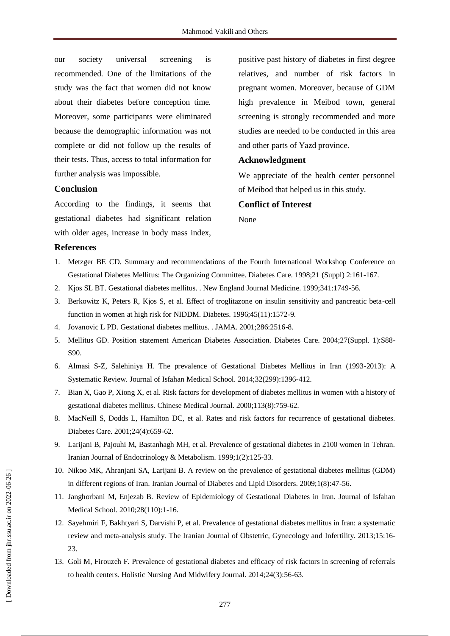our society universal screening is recommended. One of the limitations of the study was the fact that women did not know about their diabetes before conception time. Moreover, some participants were eliminated because the demographic information was not complete or did not follow up the results of their tests. Thus, access to total information for further analysis was impossible.

## **Conclusion**

According to the findings, it seems that gestational diabetes had significant relation with older ages, increase in body mass index,

positive past history of diabetes in first degree relatives, and number of risk factors in pregnant women. Moreover, because of GDM high prevalence in Meibod town, general screening is strongly recommended and more studies are needed to be conducted in this area and other parts of Yazd province.

#### **Acknowledgment**

We appreciate of the health center personnel of Meibod that helped us in this study.

#### **Conflict of Interest**

None

#### **References**

- 1. Metzger BE CD. Summary and recommendations of the Fourth International Workshop Conference on Gestational Diabetes Mellitus: The Organizing Committee. Diabetes Care. 1998;21 (Suppl) 2:161-167.
- 2. Kjos SL BT. Gestational diabetes mellitus. . New England Journal Medicine. 1999;341:1749-56.
- 3. Berkowitz K, Peters R, Kjos S, et al. Effect of troglitazone on insulin sensitivity and pancreatic beta-cell function in women at high risk for NIDDM. Diabetes. 1996;45(11):1572-9.
- 4. Jovanovic L PD. Gestational diabetes mellitus. . JAMA. 2001;286:2516-8.
- 5. Mellitus GD. Position statement American Diabetes Association. Diabetes Care. 2004;27(Suppl. 1):S88- S90.
- 6. Almasi S-Z, Salehiniya H. The prevalence of Gestational Diabetes Mellitus in Iran (1993-2013): A Systematic Review. Journal of Isfahan Medical School. 2014;32(299):1396-412.
- 7. Bian X, Gao P, Xiong X, et al. Risk factors for development of diabetes mellitus in women with a history of gestational diabetes mellitus. Chinese Medical Journal. 2000;113(8):759-62.
- 8. MacNeill S, Dodds L, Hamilton DC, et al. Rates and risk factors for recurrence of gestational diabetes. Diabetes Care. 2001;24(4):659-62.
- 9. Larijani B, Pajouhi M, Bastanhagh MH, et al. Prevalence of gestational diabetes in 2100 women in Tehran. Iranian Journal of Endocrinology & Metabolism. 1999;1(2):125-33.
- 10. Nikoo MK, Ahranjani SA, Larijani B. A review on the prevalence of gestational diabetes mellitus (GDM) in different regions of Iran. Iranian Journal of Diabetes and Lipid Disorders. 2009;1(8):47-56.
- 11. Janghorbani M, Enjezab B. Review of Epidemiology of Gestational Diabetes in Iran. Journal of Isfahan Medical School. 2010;28(110):1-16.
- 12. Sayehmiri F, Bakhtyari S, Darvishi P, et al. Prevalence of gestational diabetes mellitus in Iran: a systematic review and meta-analysis study. The Iranian Journal of Obstetric, Gynecology and Infertility. 2013;15:16- 23.
- 13. Goli M, Firouzeh F. Prevalence of gestational diabetes and efficacy of risk factors in screening of referrals to health centers. Holistic Nursing And Midwifery Journal. 2014;24(3):56-63.